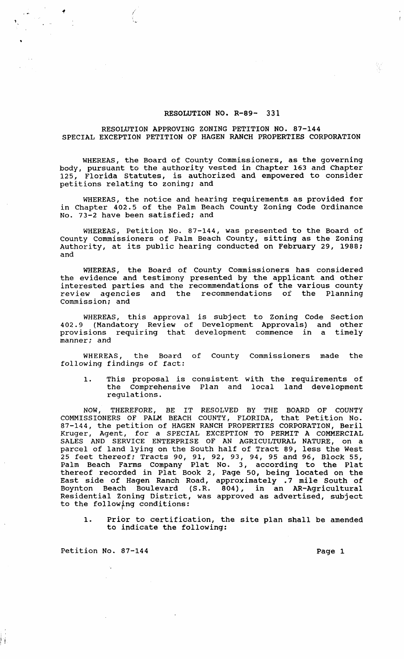## RESOLUTION NO. R-89- 331

## RESOLUTION APPROVING ZONING PETITION NO. 87-144 SPECIAL EXCEPTION PETITION OF HAGEN RANCH PROPERTIES CORPORATION

WHEREAS, the Board of County Commissioners, as the governing body, pursuant to the authority vested in chapter 163 and Chapter 125, Florida Statutes, is authorized and empowered to consider petitions relating to zoning; and

WHEREAS, the notice and hearing requirements as provided for in Chapter 402.5 of the Palm Beach County Zoning Code Ordinance No. 73-2 have been satisfied; and

WHEREAS, Petition No. 87-144, was presented to the Board of County Commissioners of Palm Beach County, sitting as the Zoning Authority, at its public hearing conducted on February 29, 1988; and

WHEREAS, the Board of County Commissioners has considered the evidence and testimony presented by the applicant and other interested parties and the recommendations of the various county review agencies and the recommendations of the Planning commission; and

WHEREAS, this approval is subject to Zoning Code Section 402.9 (Mandatory Review of Development Approvals) and other provisions requiring that development commence in a timely manner; and

WHEREAS, the Board of County Commissioners made the following findings of fact:

1. This proposal is consistent with the requirements of the Comprehensive Plan and local land development regulations.

NOW, THEREFORE, BE IT RESOLVED BY THE BOARD OF COUNTY COMMISSIONERS OF PALM BEACH COUNTY, FLORIDA, that Petition No. 87-144, the petition of HAGEN RANCH PROPERTIES CORPORATION, Beril Kruger, Agent, for a SPECIAL EXCEPTION TO PERMIT A COMMERCIAL SALES AND SERVICE ENTERPRISE OF AN AGRICULTURAL NATURE, on a parcel of land lying on the South half of Tract 89, less the West 25 feet thereof; Tracts 90, 91, 92, 93, 94, 95 and 96, Block 55, Palm Beach Farms Company Plat No. 3, according to the Plat thereof recorded in Plat Book 2, Page 50, being located on the East side of Hagen Ranch Road, approximately .7 mile South of Boynton Beach Boulevard (S.R. 804), in an AR-Agricultural Residential Zoning District, was approved as advertised, subject to the following conditions:

1. Prior to certification, the site plan shall be amended to indicate the following:

Petition No. 87-144 Page 1

 $^{\mathfrak{b}}$  i.  $\rightarrow$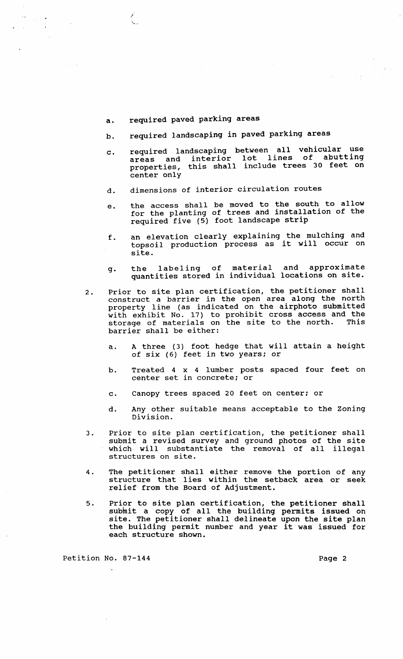a. required paved parking areas

I

 $\lambda_{\rm{eff}} \gtrsim 2$ 

 $\sim$   $\lambda$ 

 $\sim$   $\alpha$ 

- b. required landscaping in paved parking areas
- c. required landscaping between all vehicular use areas and interior lot lines of abutting areas and incorporate include trees 30 feet on center only
- d. dimensions of interior circulation routes
- e. the access shall be moved to the south to allow for the planting of trees and installation of the required five (5) foot landscape strip
- f. an elevation clearly explaining the mulching and topsoil production process as it will occur on site.
- g. the labeling of material and approximate quantities stored in individual locations on site.
- 2. Prior to site plan certification, the petitioner shall construct a barrier in the open area along the north property line (as indicated on the airphoto submitted with exhibit No. 17) to prohibit cross access and the storage of materials on the site to the north. This barrier shall be either:
	- a. A three (3) foot hedge that will attain a height of six (6) feet in two years; or
	- b. Treated 4 x 4 lumber posts spaced four feet on center set in concrete; or
	- c. Canopy trees spaced 20 feet on center; or
	- d. Any other suitable means acceptable to the Zoning Division.
- 3. Prior to site plan certification, the petitioner shall submit a revised survey and ground photos of the site which will substantiate the removal of all illegal structures on site.
- 4. The petitioner shall either remove the portion of any structure that lies within the setback area or seek relief from the Board of Adjustment.
- 5. Prior to site plan certification, the petitioner shall subhit a copy of all the building permits issued on submit a copy of air and barraing permits issued on<br>site. The petitioner shall delineate upon the site plan site. The petitioner shall defineate upon the site plan<br>the building permit number and year it was issued for each structure shown.

Petition No. 87-144 **Page 2** Page 2

 $\mathbb{R}^n \times \mathbb{R}^{n \times n}$ 

 $\lambda_1,\lambda_2$  )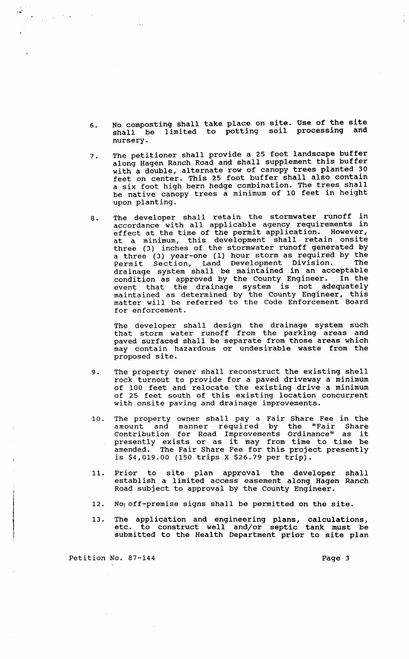- 6. No composting shall take place on site. Use of the site shall be limited to potting soil processing and nursery.
- 7. The petitioner shall provide a 25 foot landscape buffer along Hagen Ranch Road and shall supplement this buffer with a double, alternate row of canopy trees planted 30 feet on center. This 25 foot buffer shall also contain a six foot high bern hedge combination. The trees shall be native canopy trees a minimum of 10 feet in height upon planting.
- 8. The developer shall retain the stormwater runoff in accordance with all applicable agency requirements in accordance with air appricable agons, requirements in at a minimum, this development shall retain onsite three (3) inches of the stormwater runoff generated by a three (3) year-one (1) hour storm as required by the Permit section, Land Development Division. The drainage system shall be maintained in an acceptable condition as approved by the county Engineer. In the event that the drainage system is not adequately maintained as determined by the County Engineer, this mathed has decermined by the code Enforcement Board for enforcement.

The developer shall design the drainage system such that storm water runoff from the parking areas and paved surfaced shall be separate from those areas which may contain hazardous or undesirable waste from the proposed site.

- 9. The property owner shall reconstruct the existing shell rock turnout to provide for a paved driveway a minimum of 100 feet and relocate the existing drive a minimum of 25 feet south of this existing location concurrent with onsite paving and drainage improvements.
- 10. The property owner shall pay a Fair Share Fee in the amount and manner required by the "Fair Share amount and manner required by the "rair share<br>Contribution for Road Improvements Ordinance" as it presently exists or as it may from time to time be amended. The Fair Share Fee for this project presently is \$4,019.00 (150 trips X \$26.79 per trip).
- 11. Prior to site plan approval the developer shall establish a limited access easement along Hagen Ranch Road subject to approval by the County Engineer.
- 12. No, off-premise signs shall be permitted on the site.
- 13. The application and engineering plans, calculations, etc. to construct well and/or septic tank must be submitted to the Health Department prior to site plan

Petition No. 87-144 Page 3

 $\frac{1}{\sqrt{2}}\left(\frac{1}{2}\right)^{\frac{1}{2}}\left(\frac{1}{2}\right)^{\frac{1}{2}}$ 

Æ.

 $\frac{1}{2}$  .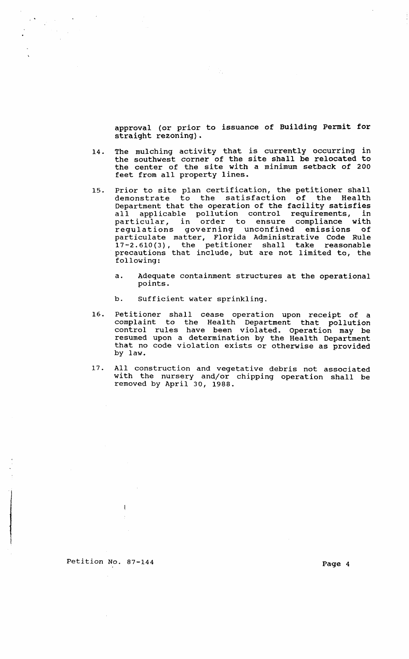approval (or prior to issuance of Building Permit for straight rezoning).

- 14. The mulching activity that is currently occurring in the southwest corner of the site shall be relocated to the center of the site with a minimum setback of 200 feet from all property lines.
- 15. Prior to site plan certification, the petitioner shall demonstrate to the satisfaction of the Health Department that the operation of the facility satisfies all applicable pollution control requirements, in particular, in order to ensure compliance with regulations governing unconfined emissions of particulate matter, Florida Administrative Code Rule 17-2.610(3), the petitioner shall take reasonable precautions that include, but are not limited to, the following:
	- a. Adequate containment structures at the operational points.
	- b. Sufficient water sprinkling.
- 16. Petitioner shall cease operation upon receipt of a complaint to the Health Department that pollution control rules have been violated. Operation may be resumed upon a determination by the Health Department that no code violation exists or otherwise as provided by law.
- 17. All construction and vegetative debris not associated with the nursery and/or chipping operation shall be removed by April 30, 1988.